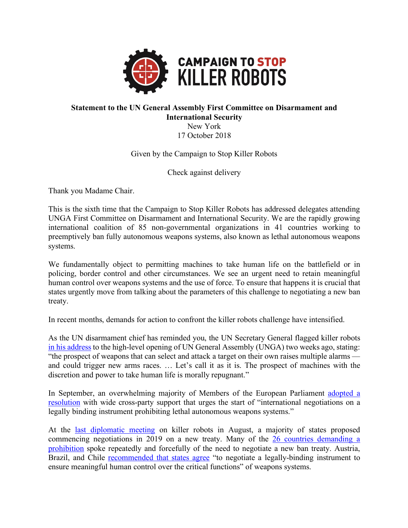

## **Statement to the UN General Assembly First Committee on Disarmament and International Security** New York

17 October 2018

Given by the Campaign to Stop Killer Robots

Check against delivery

Thank you Madame Chair.

This is the sixth time that the Campaign to Stop Killer Robots has addressed delegates attending UNGA First Committee on Disarmament and International Security. We are the rapidly growing international coalition of 85 non-governmental organizations in 41 countries working to preemptively ban fully autonomous weapons systems, also known as lethal autonomous weapons systems.

We fundamentally object to permitting machines to take human life on the battlefield or in policing, border control and other circumstances. We see an urgent need to retain meaningful human control over weapons systems and the use of force. To ensure that happens it is crucial that states urgently move from talking about the parameters of this challenge to negotiating a new ban treaty.

In recent months, demands for action to confront the killer robots challenge have intensified.

As the UN disarmament chief has reminded you, the UN Secretary General flagged killer robots in his address to the high-level opening of UN General Assembly (UNGA) two weeks ago, stating: "the prospect of weapons that can select and attack a target on their own raises multiple alarms and could trigger new arms races. … Let's call it as it is. The prospect of machines with the discretion and power to take human life is morally repugnant."

In September, an overwhelming majority of Members of the European Parliament adopted a resolution with wide cross-party support that urges the start of "international negotiations on a legally binding instrument prohibiting lethal autonomous weapons systems."

At the last diplomatic meeting on killer robots in August, a majority of states proposed commencing negotiations in 2019 on a new treaty. Many of the 26 countries demanding a prohibition spoke repeatedly and forcefully of the need to negotiate a new ban treaty. Austria, Brazil, and Chile recommended that states agree "to negotiate a legally-binding instrument to ensure meaningful human control over the critical functions" of weapons systems.